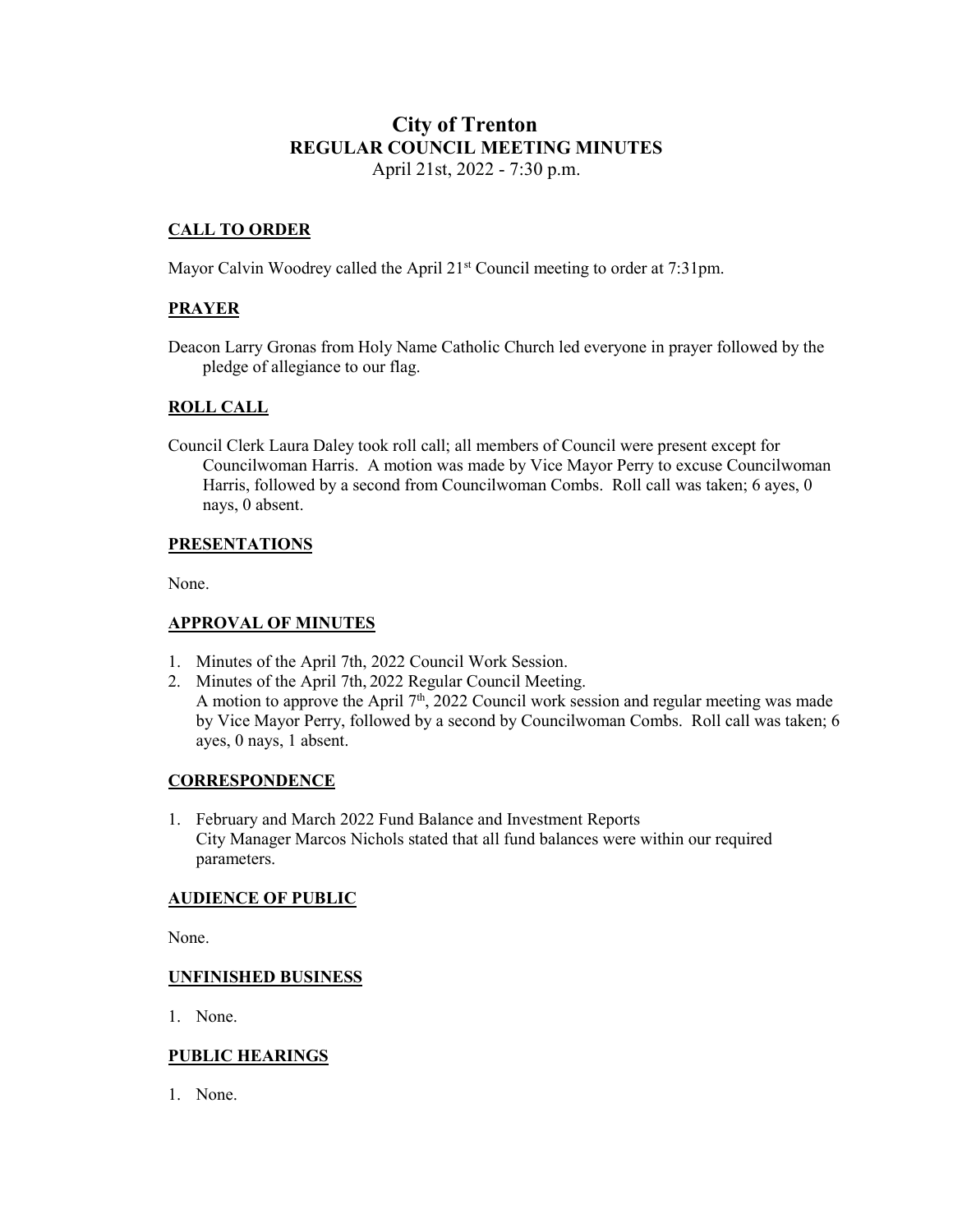# **City of Trenton REGULAR COUNCIL MEETING MINUTES** April 21st, 2022 - 7:30 p.m.

# **CALL TO ORDER**

Mayor Calvin Woodrey called the April 21<sup>st</sup> Council meeting to order at 7:31pm.

### **PRAYER**

Deacon Larry Gronas from Holy Name Catholic Church led everyone in prayer followed by the pledge of allegiance to our flag.

### **ROLL CALL**

Council Clerk Laura Daley took roll call; all members of Council were present except for Councilwoman Harris. A motion was made by Vice Mayor Perry to excuse Councilwoman Harris, followed by a second from Councilwoman Combs. Roll call was taken; 6 ayes, 0 nays, 0 absent.

#### **PRESENTATIONS**

None.

#### **APPROVAL OF MINUTES**

- 1. Minutes of the April 7th, 2022 Council Work Session.
- 2. Minutes of the April 7th, 2022 Regular Council Meeting. A motion to approve the April  $7<sup>th</sup>$ , 2022 Council work session and regular meeting was made by Vice Mayor Perry, followed by a second by Councilwoman Combs. Roll call was taken; 6 ayes, 0 nays, 1 absent.

#### **CORRESPONDENCE**

1. February and March 2022 Fund Balance and Investment Reports City Manager Marcos Nichols stated that all fund balances were within our required parameters.

#### **AUDIENCE OF PUBLIC**

None.

#### **UNFINISHED BUSINESS**

1. None.

#### **PUBLIC HEARINGS**

1. None.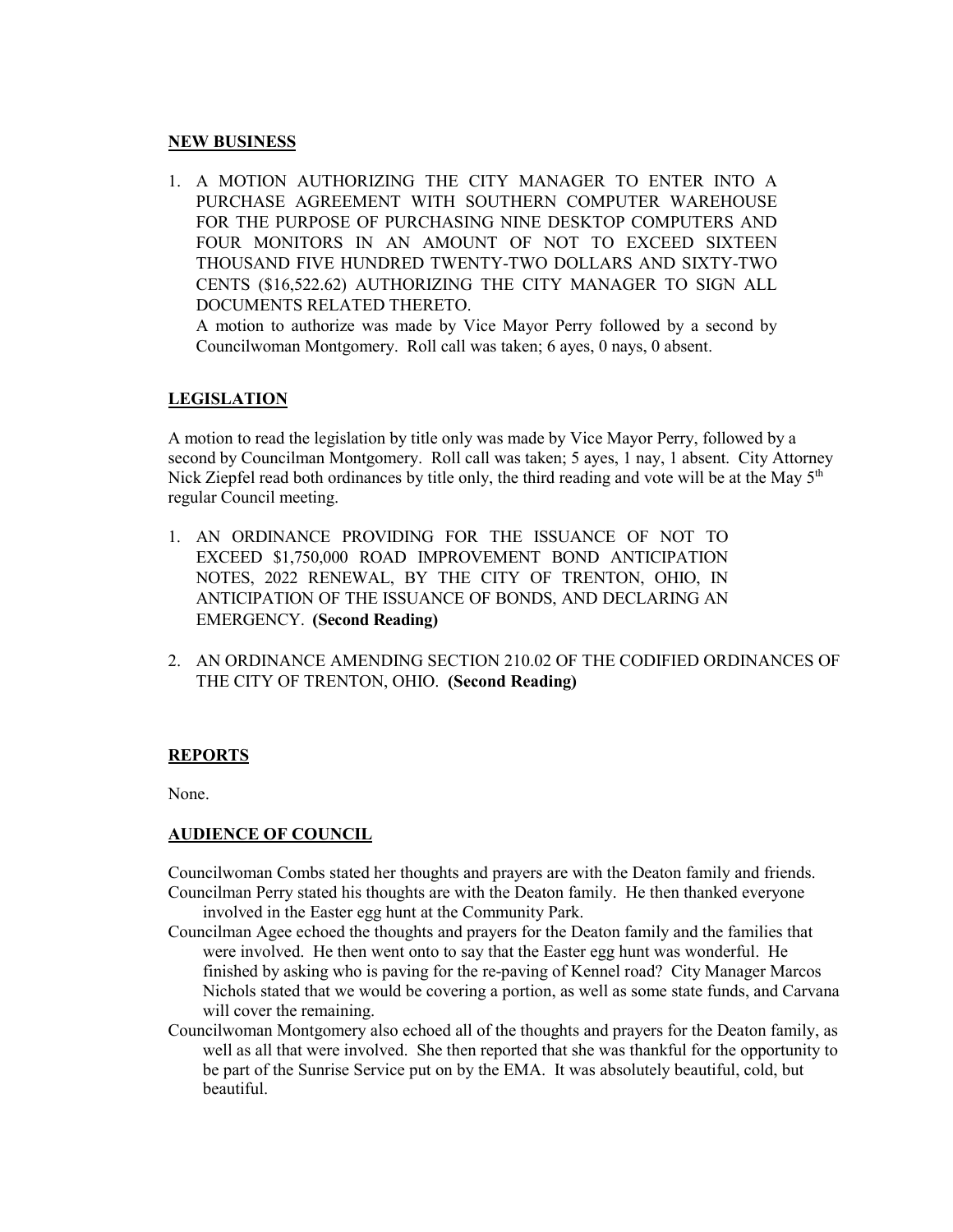#### **NEW BUSINESS**

1. A MOTION AUTHORIZING THE CITY MANAGER TO ENTER INTO A PURCHASE AGREEMENT WITH SOUTHERN COMPUTER WAREHOUSE FOR THE PURPOSE OF PURCHASING NINE DESKTOP COMPUTERS AND FOUR MONITORS IN AN AMOUNT OF NOT TO EXCEED SIXTEEN THOUSAND FIVE HUNDRED TWENTY-TWO DOLLARS AND SIXTY-TWO CENTS (\$16,522.62) AUTHORIZING THE CITY MANAGER TO SIGN ALL DOCUMENTS RELATED THERETO.

A motion to authorize was made by Vice Mayor Perry followed by a second by Councilwoman Montgomery. Roll call was taken; 6 ayes, 0 nays, 0 absent.

# **LEGISLATION**

A motion to read the legislation by title only was made by Vice Mayor Perry, followed by a second by Councilman Montgomery. Roll call was taken; 5 ayes, 1 nay, 1 absent. City Attorney Nick Ziepfel read both ordinances by title only, the third reading and vote will be at the May  $5<sup>th</sup>$ regular Council meeting.

- 1. AN ORDINANCE PROVIDING FOR THE ISSUANCE OF NOT TO EXCEED \$1,750,000 ROAD IMPROVEMENT BOND ANTICIPATION NOTES, 2022 RENEWAL, BY THE CITY OF TRENTON, OHIO, IN ANTICIPATION OF THE ISSUANCE OF BONDS, AND DECLARING AN EMERGENCY. **(Second Reading)**
- 2. AN ORDINANCE AMENDING SECTION 210.02 OF THE CODIFIED ORDINANCES OF THE CITY OF TRENTON, OHIO. **(Second Reading)**

#### **REPORTS**

None.

#### **AUDIENCE OF COUNCIL**

Councilwoman Combs stated her thoughts and prayers are with the Deaton family and friends. Councilman Perry stated his thoughts are with the Deaton family. He then thanked everyone

involved in the Easter egg hunt at the Community Park.

- Councilman Agee echoed the thoughts and prayers for the Deaton family and the families that were involved. He then went onto to say that the Easter egg hunt was wonderful. He finished by asking who is paving for the re-paving of Kennel road? City Manager Marcos Nichols stated that we would be covering a portion, as well as some state funds, and Carvana will cover the remaining.
- Councilwoman Montgomery also echoed all of the thoughts and prayers for the Deaton family, as well as all that were involved. She then reported that she was thankful for the opportunity to be part of the Sunrise Service put on by the EMA. It was absolutely beautiful, cold, but beautiful.